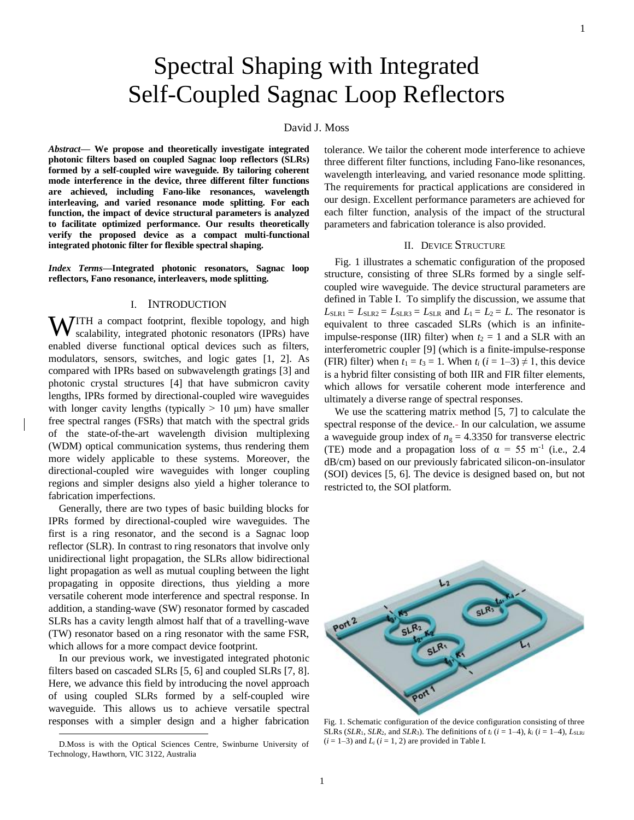# Spectral Shaping with Integrated Self-Coupled Sagnac Loop Reflectors

## David J. Moss

*Abstract***— We propose and theoretically investigate integrated photonic filters based on coupled Sagnac loop reflectors (SLRs) formed by a self-coupled wire waveguide. By tailoring coherent mode interference in the device, three different filter functions are achieved, including Fano-like resonances, wavelength interleaving, and varied resonance mode splitting. For each function, the impact of device structural parameters is analyzed to facilitate optimized performance. Our results theoretically verify the proposed device as a compact multi-functional integrated photonic filter for flexible spectral shaping.**

*Index Terms***—Integrated photonic resonators, Sagnac loop reflectors, Fano resonance, interleavers, mode splitting.**

#### I. INTRODUCTION

**WITH** a compact footprint, flexible topology, and high scalability, integrated photonic resonators (IPRs) have scalability, integrated photonic resonators (IPRs) have enabled diverse functional optical devices such as filters, modulators, sensors, switches, and logic gates [1, 2]. As compared with IPRs based on subwavelength gratings [3] and photonic crystal structures [4] that have submicron cavity lengths, IPRs formed by directional-coupled wire waveguides with longer cavity lengths (typically  $> 10 \mu m$ ) have smaller free spectral ranges (FSRs) that match with the spectral grids of the state-of-the-art wavelength division multiplexing (WDM) optical communication systems, thus rendering them more widely applicable to these systems. Moreover, the directional-coupled wire waveguides with longer coupling regions and simpler designs also yield a higher tolerance to fabrication imperfections.

Generally, there are two types of basic building blocks for IPRs formed by directional-coupled wire waveguides. The first is a ring resonator, and the second is a Sagnac loop reflector (SLR). In contrast to ring resonators that involve only unidirectional light propagation, the SLRs allow bidirectional light propagation as well as mutual coupling between the light propagating in opposite directions, thus yielding a more versatile coherent mode interference and spectral response. In addition, a standing-wave (SW) resonator formed by cascaded SLRs has a cavity length almost half that of a travelling-wave (TW) resonator based on a ring resonator with the same FSR, which allows for a more compact device footprint.

In our previous work, we investigated integrated photonic filters based on cascaded SLRs [5, 6] and coupled SLRs [7, 8]. Here, we advance this field by introducing the novel approach of using coupled SLRs formed by a self-coupled wire waveguide. This allows us to achieve versatile spectral responses with a simpler design and a higher fabrication

-

tolerance. We tailor the coherent mode interference to achieve three different filter functions, including Fano-like resonances, wavelength interleaving, and varied resonance mode splitting. The requirements for practical applications are considered in our design. Excellent performance parameters are achieved for each filter function, analysis of the impact of the structural parameters and fabrication tolerance is also provided.

## II. DEVICE STRUCTURE

Fig. 1 illustrates a schematic configuration of the proposed structure, consisting of three SLRs formed by a single selfcoupled wire waveguide. The device structural parameters are defined in Table I. To simplify the discussion, we assume that  $L_{SLR1} = L_{SLR2} = L_{SLR3} = L_{SLR}$  and  $L_1 = L_2 = L$ . The resonator is equivalent to three cascaded SLRs (which is an infiniteimpulse-response (IIR) filter) when  $t_2 = 1$  and a SLR with an interferometric coupler [9] (which is a finite-impulse-response (FIR) filter) when  $t_1 = t_3 = 1$ . When  $t_i$  ( $i = 1-3 \neq 1$ , this device is a hybrid filter consisting of both IIR and FIR filter elements, which allows for versatile coherent mode interference and ultimately a diverse range of spectral responses.

We use the scattering matrix method [5, 7] to calculate the spectral response of the device. In our calculation, we assume a waveguide group index of  $n<sub>g</sub> = 4.3350$  for transverse electric (TE) mode and a propagation loss of  $\alpha = 55$  m<sup>-1</sup> (i.e., 2.4) dB/cm) based on our previously fabricated silicon-on-insulator (SOI) devices [5, 6]. The device is designed based on, but not restricted to, the SOI platform.



Fig. 1. Schematic configuration of the device configuration consisting of three SLRs (*SLR*<sub>1</sub>, *SLR*<sub>2</sub>, and *SLR*<sub>3</sub>). The definitions of  $t_i$  ( $i = 1-4$ ),  $k_i$  ( $i = 1-4$ ),  $L_{SLRi}$  $(i = 1-3)$  and  $L_i$   $(i = 1, 2)$  are provided in Table I.

D.Moss is with the Optical Sciences Centre, Swinburne University of Technology, Hawthorn, VIC 3122, Australia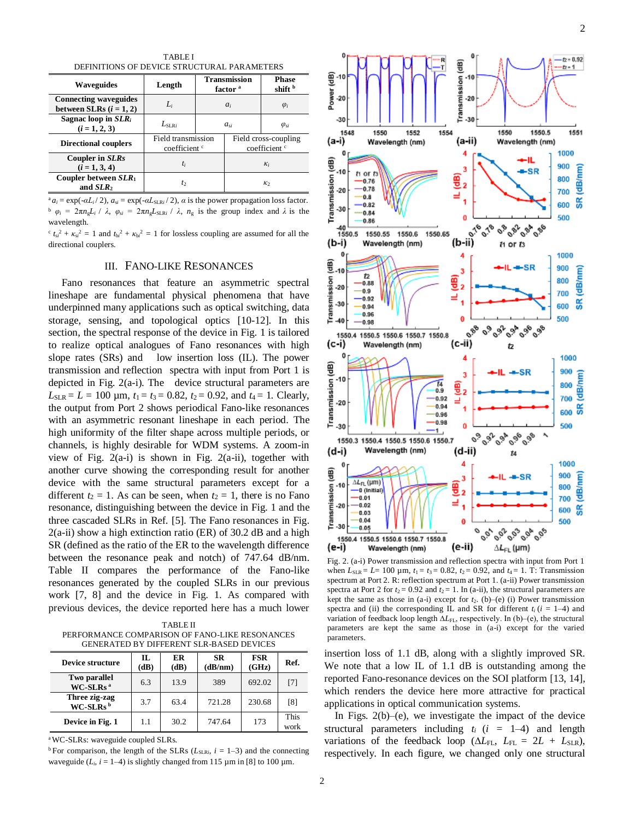TABLE I DEFINITIONS OF DEVICE STRUCTURAL PARAMETERS

| <u>DEI INITIONO OI DENICE DINCCI CIVILI I INVIDILIBINO</u> |                                                |                                            |                |                                                  |  |  |  |  |
|------------------------------------------------------------|------------------------------------------------|--------------------------------------------|----------------|--------------------------------------------------|--|--|--|--|
| <b>Waveguides</b>                                          | Length                                         | <b>Transmission</b><br>factor <sup>a</sup> |                | <b>Phase</b><br>shift b                          |  |  |  |  |
| <b>Connecting waveguides</b><br>between SLRs $(i = 1, 2)$  | $L_i$                                          | $a_i$                                      |                | $\varphi_i$                                      |  |  |  |  |
| Sagnac loop in $SLR_i$<br>$(i = 1, 2, 3)$                  | $L_{\rm SIR}$                                  | $a_{si}$                                   |                | $\varphi_{si}$                                   |  |  |  |  |
| <b>Directional couplers</b>                                | Field transmission<br>coefficient <sup>c</sup> |                                            |                | Field cross-coupling<br>coefficient <sup>c</sup> |  |  |  |  |
| Coupler in SLRs<br>$(i = 1, 3, 4)$                         | $t_i$                                          |                                            | $\kappa_i$     |                                                  |  |  |  |  |
| Coupler between $SLR_1$<br>and SLR <sub>2</sub>            | $t_2$                                          |                                            | K <sub>2</sub> |                                                  |  |  |  |  |

 $a_i = \exp(-\alpha L_i/2)$ ,  $a_{si} = \exp(-\alpha L_{SLR}^2/2)$ ,  $\alpha$  is the power propagation loss factor.  $\phi_i = 2\pi n_g L_i / \lambda$ ,  $\phi_{si} = 2\pi n_g L_{SLRi} / \lambda$ ,  $n_g$  is the group index and  $\lambda$  is the wavelength.

 $c$   $t_{si}^2 + \kappa_{si}^2 = 1$  and  $t_{bi}^2 + \kappa_{bi}^2 = 1$  for lossless coupling are assumed for all the directional couplers.

## III. FANO-LIKE RESONANCES

Fano resonances that feature an asymmetric spectral lineshape are fundamental physical phenomena that have underpinned many applications such as optical switching, data storage, sensing, and topological optics [10-12]. In this section, the spectral response of the device in Fig. 1 is tailored to realize optical analogues of Fano resonances with high slope rates (SRs) and low insertion loss (IL). The power transmission and reflection spectra with input from Port 1 is depicted in Fig. 2(a-i). The device structural parameters are  $L_{SLR} = L = 100 \mu m$ ,  $t_1 = t_3 = 0.82$ ,  $t_2 = 0.92$ , and  $t_4 = 1$ . Clearly, the output from Port 2 shows periodical Fano-like resonances with an asymmetric resonant lineshape in each period. The high uniformity of the filter shape across multiple periods, or channels, is highly desirable for WDM systems. A zoom-in view of Fig.  $2(a-i)$  is shown in Fig.  $2(a-i)$ , together with another curve showing the corresponding result for another device with the same structural parameters except for a different  $t_2 = 1$ . As can be seen, when  $t_2 = 1$ , there is no Fano resonance, distinguishing between the device in Fig. 1 and the three cascaded SLRs in Ref. [5]. The Fano resonances in Fig.  $2(a-ii)$  show a high extinction ratio (ER) of 30.2 dB and a high SR (defined as the ratio of the ER to the wavelength difference between the resonance peak and notch) of 747.64 dB/nm. Table II compares the performance of the Fano-like resonances generated by the coupled SLRs in our previous work [7, 8] and the device in Fig. 1. As compared with previous devices, the device reported here has a much lower

TABLE II PERFORMANCE COMPARISON OF FANO-LIKE RESONANCES GENERATED BY DIFFERENT SLR-BASED DEVICES

| <b>Device structure</b>              | П.<br>(dB) | ER<br>(dB) | <b>SR</b><br>(dB/nm) | <b>FSR</b><br>(GHz) | Ref.                |
|--------------------------------------|------------|------------|----------------------|---------------------|---------------------|
| Two parallel<br>WC-SLRs <sup>a</sup> | 6.3        | 13.9       | 389                  | 692.02              | [7]                 |
| Three zig-zag<br>$WC-SLRsb$          | 3.7        | 63.4       | 721.28               | 230.68              | [8]                 |
| Device in Fig. 1                     | 1.1        | 30.2       | 747.64               | 173                 | <b>This</b><br>work |

<sup>a</sup>WC-SLRs: waveguide coupled SLRs.

<sup>b</sup> For comparison, the length of the SLRs ( $L_{SLRi}$ ,  $i = 1-3$ ) and the connecting waveguide  $(L_i, i = 1-4)$  is slightly changed from 115  $\mu$ m in [8] to 100  $\mu$ m.



Fig. 2. (a-i) Power transmission and reflection spectra with input from Port 1 when  $L_{SLR} = L = 100 \mu \text{m}$ ,  $t_1 = t_3 = 0.82$ ,  $t_2 = 0.92$ , and  $t_4 = 1$ . T: Transmission spectrum at Port 2. R: reflection spectrum at Port 1. (a-ii) Power transmission spectra at Port 2 for  $t_2$  = 0.92 and  $t_2$  = 1. In (a-ii), the structural parameters are kept the same as those in  $(a-i)$  except for  $t_2$ .  $(b)$ – $(e)$   $(i)$  Power transmission spectra and (ii) the corresponding IL and SR for different  $t_i$  ( $i = 1-4$ ) and variation of feedback loop length ∆*L*FL, respectively. In (b)‒(e), the structural parameters are kept the same as those in (a-i) except for the varied parameters.

insertion loss of 1.1 dB, along with a slightly improved SR. We note that a low IL of 1.1 dB is outstanding among the reported Fano-resonance devices on the SOI platform [13, 14], which renders the device here more attractive for practical applications in optical communication systems.

In Figs.  $2(b)$ –(e), we investigate the impact of the device structural parameters including  $t_i$  ( $i = 1-4$ ) and length variations of the feedback loop ( $\Delta L_{FL}$ ,  $L_{FL} = 2L + L_{SLR}$ ), respectively. In each figure, we changed only one structural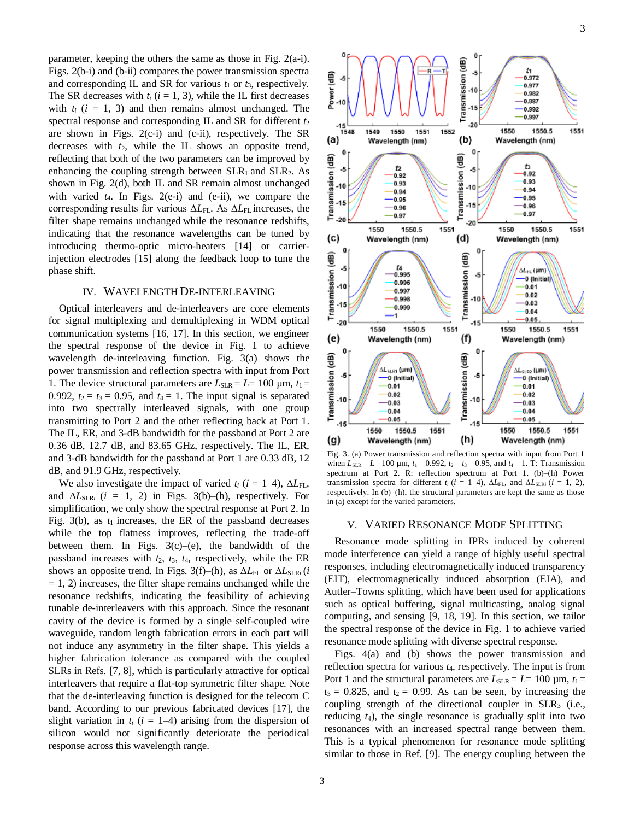parameter, keeping the others the same as those in Fig. 2(a-i). Figs. 2(b-i) and (b-ii) compares the power transmission spectra and corresponding IL and SR for various  $t_1$  or  $t_3$ , respectively. The SR decreases with  $t_i$  ( $i = 1, 3$ ), while the IL first decreases with  $t_i$  ( $i = 1, 3$ ) and then remains almost unchanged. The spectral response and corresponding IL and SR for different  $t_2$ are shown in Figs.  $2(c-i)$  and  $(c-ii)$ , respectively. The SR decreases with *t*2, while the IL shows an opposite trend, reflecting that both of the two parameters can be improved by enhancing the coupling strength between  $SLR_1$  and  $SLR_2$ . As shown in Fig. 2(d), both IL and SR remain almost unchanged with varied  $t_4$ . In Figs.  $2(e-i)$  and  $(e-i)$ , we compare the corresponding results for various Δ*L*FL. As Δ*L*FL increases, the filter shape remains unchanged while the resonance redshifts, indicating that the resonance wavelengths can be tuned by introducing thermo-optic micro-heaters [14] or carrierinjection electrodes [15] along the feedback loop to tune the phase shift.

### IV. WAVELENGTH DE-INTERLEAVING

Optical interleavers and de-interleavers are core elements for signal multiplexing and demultiplexing in WDM optical communication systems [16, 17]. In this section, we engineer the spectral response of the device in Fig. 1 to achieve wavelength de-interleaving function. Fig. 3(a) shows the power transmission and reflection spectra with input from Port 1. The device structural parameters are  $L_{SLR} = L = 100 \text{ µm}, t_1 =$ 0.992,  $t_2 = t_3 = 0.95$ , and  $t_4 = 1$ . The input signal is separated into two spectrally interleaved signals, with one group transmitting to Port 2 and the other reflecting back at Port 1. The IL, ER, and 3-dB bandwidth for the passband at Port 2 are 0.36 dB, 12.7 dB, and 83.65 GHz, respectively. The IL, ER, and 3-dB bandwidth for the passband at Port 1 are 0.33 dB, 12 dB, and 91.9 GHz, respectively.

We also investigate the impact of varied  $t_i$  ( $i = 1-4$ ),  $\Delta L_{FL}$ , and  $\Delta L_{SLRi}$  (*i* = 1, 2) in Figs. 3(b)–(h), respectively. For simplification, we only show the spectral response at Port 2. In Fig.  $3(b)$ , as  $t_1$  increases, the ER of the passband decreases while the top flatness improves, reflecting the trade-off between them. In Figs.  $3(c)$ –(e), the bandwidth of the passband increases with *t*2, *t*3, *t*4, respectively, while the ER shows an opposite trend. In Figs. 3(f)–(h), as  $\Delta L_{FL}$  or  $\Delta L_{SLRi}$  (*i*  $= 1, 2$ ) increases, the filter shape remains unchanged while the resonance redshifts, indicating the feasibility of achieving tunable de-interleavers with this approach. Since the resonant cavity of the device is formed by a single self-coupled wire waveguide, random length fabrication errors in each part will not induce any asymmetry in the filter shape. This yields a higher fabrication tolerance as compared with the coupled SLRs in Refs. [7, 8], which is particularly attractive for optical interleavers that require a flat-top symmetric filter shape. Note that the de-interleaving function is designed for the telecom C band. According to our previous fabricated devices [17], the slight variation in  $t_i$  ( $i = 1-4$ ) arising from the dispersion of silicon would not significantly deteriorate the periodical response across this wavelength range.



Fig. 3. (a) Power transmission and reflection spectra with input from Port 1 when  $L_{SLR} = L = 100 \mu m$ ,  $t_1 = 0.992$ ,  $t_2 = t_3 = 0.95$ , and  $t_4 = 1$ . T: Transmission spectrum at Port 2. R: reflection spectrum at Port 1. (b)–(h) Power transmission spectra for different  $t_i$  ( $i = 1-4$ ),  $\Delta L_{FL}$ , and  $\Delta L_{SLR}$ *i* ( $i = 1, 2$ ), respectively. In  $(b)$ – $(h)$ , the structural parameters are kept the same as those in (a) except for the varied parameters.

#### V. VARIED RESONANCE MODE SPLITTING

Resonance mode splitting in IPRs induced by coherent mode interference can yield a range of highly useful spectral responses, including electromagnetically induced transparency (EIT), electromagnetically induced absorption (EIA), and Autler–Towns splitting, which have been used for applications such as optical buffering, signal multicasting, analog signal computing, and sensing [9, 18, 19]. In this section, we tailor the spectral response of the device in Fig. 1 to achieve varied resonance mode splitting with diverse spectral response.

Figs. 4(a) and (b) shows the power transmission and reflection spectra for various *t*4, respectively. The input is from Port 1 and the structural parameters are  $L_{SLR} = L = 100 \mu m$ ,  $t_1 =$  $t_3$  = 0.825, and  $t_2$  = 0.99. As can be seen, by increasing the coupling strength of the directional coupler in  $SLR<sub>3</sub>$  (i.e., reducing *t*4), the single resonance is gradually split into two resonances with an increased spectral range between them. This is a typical phenomenon for resonance mode splitting similar to those in Ref. [9]. The energy coupling between the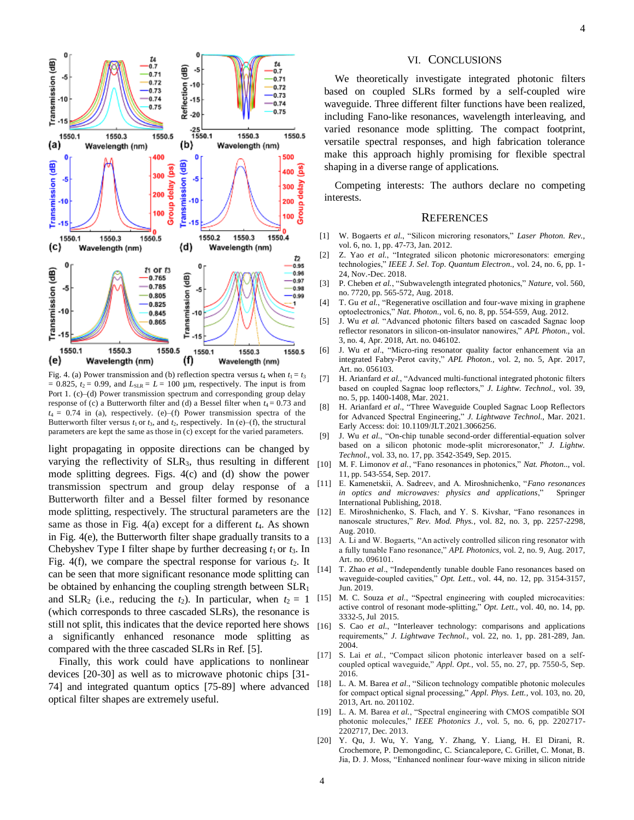

Fig. 4. (a) Power transmission and (b) reflection spectra versus  $t_4$  when  $t_1 = t_3$  $= 0.825$ ,  $t_2 = 0.99$ , and  $L_{SLR} = L = 100 \mu m$ , respectively. The input is from Port 1. (c)–(d) Power transmission spectrum and corresponding group delay response of (c) a Butterworth filter and (d) a Bessel filter when  $t_4 = 0.73$  and  $t_4 = 0.74$  in (a), respectively. (e)–(f) Power transmission spectra of the Butterworth filter versus  $t_1$  or  $t_3$ , and  $t_2$ , respectively. In (e)–(f), the structural parameters are kept the same as those in (c) except for the varied parameters.

light propagating in opposite directions can be changed by varying the reflectivity of  $SLR_3$ , thus resulting in different  $_{[10]}$ mode splitting degrees. Figs. 4(c) and (d) show the power transmission spectrum and group delay response of a Butterworth filter and a Bessel filter formed by resonance mode splitting, respectively. The structural parameters are the [12] same as those in Fig. 4(a) except for a different *t*4. As shown in Fig. 4(e), the Butterworth filter shape gradually transits to a  $_{[13]}$ Chebyshev Type I filter shape by further decreasing  $t_1$  or  $t_3$ . In Fig.  $4(f)$ , we compare the spectral response for various  $t_2$ . It can be seen that more significant resonance mode splitting can be obtained by enhancing the coupling strength between  $SLR_1$ and SLR<sub>2</sub> (i.e., reducing the  $t_2$ ). In particular, when  $t_2 = 1$ (which corresponds to three cascaded SLRs), the resonance is still not split, this indicates that the device reported here shows a significantly enhanced resonance mode splitting as compared with the three cascaded SLRs in Ref. [5].

Finally, this work could have applications to nonlinear devices [20-30] as well as to microwave photonic chips [31- 74] and integrated quantum optics [75-89] where advanced optical filter shapes are extremely useful.

#### VI. CONCLUSIONS

We theoretically investigate integrated photonic filters based on coupled SLRs formed by a self-coupled wire waveguide. Three different filter functions have been realized, including Fano-like resonances, wavelength interleaving, and varied resonance mode splitting. The compact footprint, versatile spectral responses, and high fabrication tolerance make this approach highly promising for flexible spectral shaping in a diverse range of applications.

Competing interests: The authors declare no competing interests.

#### **REFERENCES**

- [1] W. Bogaerts *et al.*, "Silicon microring resonators," *Laser Photon. Rev.,*  vol. 6, no. 1, pp. 47-73, Jan. 2012.
- [2] Z. Yao *et al.*, "Integrated silicon photonic microresonators: emerging technologies," *IEEE J. Sel. Top. Quantum Electron.,* vol. 24, no. 6, pp. 1- 24, Nov.-Dec. 2018.
- [3] P. Cheben *et al.*, "Subwavelength integrated photonics," *Nature,* vol. 560, no. 7720, pp. 565-572, Aug. 2018.
- [4] T. Gu *et al.*, "Regenerative oscillation and four-wave mixing in graphene optoelectronics," *Nat. Photon.,* vol. 6, no. 8, pp. 554-559, Aug. 2012.
- [5] J. Wu *et al.* "Advanced photonic filters based on cascaded Sagnac loop reflector resonators in silicon-on-insulator nanowires," *APL Photon.,* vol. 3, no. 4, Apr. 2018, Art. no. 046102.
- [6] J. Wu *et al*., "Micro-ring resonator quality factor enhancement via an integrated Fabry-Perot cavity," *APL Photon.,* vol. 2, no. 5, Apr. 2017, Art. no. 056103.
- [7] H. Arianfard *et al.*, "Advanced multi-functional integrated photonic filters based on coupled Sagnac loop reflectors," *J. Lightw. Technol.,* vol. 39, no. 5, pp. 1400-1408, Mar. 2021.
- [8] H. Arianfard *et al*., "Three Waveguide Coupled Sagnac Loop Reflectors for Advanced Spectral Engineering," *J. Lightwave Technol.,* Mar. 2021. Early Access: doi: 10.1109/JLT.2021.3066256.
- [9] J. Wu *et al.*, "On-chip tunable second-order differential-equation solver based on a silicon photonic mode-split microresonator," *J. Lightw. Technol.,* vol. 33, no. 17, pp. 3542-3549, Sep. 2015.
- [10] M. F. Limonov *et al.*, "Fano resonances in photonics," *Nat. Photon..,* vol. 11, pp. 543-554, Sep. 2017.
- [11] E. Kamenetskii, A. Sadreev, and A. Miroshnichenko, "*Fano resonances in optics and microwaves: physics and applications*," Springer International Publishing, 2018.
- E. Miroshnichenko, S. Flach, and Y. S. Kivshar, "Fano resonances in nanoscale structures," *Rev. Mod. Phys.,* vol. 82, no. 3, pp. 2257-2298, Aug. 2010.
- A. Li and W. Bogaerts, "An actively controlled silicon ring resonator with a fully tunable Fano resonance," *APL Photonics,* vol. 2, no. 9, Aug. 2017, Art. no. 096101.
- [14] T. Zhao *et al*., "Independently tunable double Fano resonances based on waveguide-coupled cavities," *Opt. Lett*., vol. 44, no. 12, pp. 3154-3157, Jun. 2019.
- [15] M. C. Souza *et al*., "Spectral engineering with coupled microcavities: active control of resonant mode-splitting," *Opt. Lett.,* vol. 40, no. 14, pp. 3332-5, Jul 2015.
- [16] S. Cao et al., "Interleaver technology: comparisons and applications requirements," *J. Lightwave Technol.,* vol. 22, no. 1, pp. 281-289, Jan. 2004.
- S. Lai et al., "Compact silicon photonic interleaver based on a selfcoupled optical waveguide," *Appl. Opt.,* vol. 55, no. 27, pp. 7550-5, Sep. 2016.
- [18] L. A. M. Barea *et al*., "Silicon technology compatible photonic molecules for compact optical signal processing," *Appl. Phys. Lett.,* vol. 103, no. 20, 2013, Art. no. 201102.
- [19] L. A. M. Barea *et al.*, "Spectral engineering with CMOS compatible SOI photonic molecules," *IEEE Photonics J.,* vol. 5, no. 6, pp. 2202717- 2202717, Dec. 2013.
- [20] Y. Qu, J. Wu, Y. Yang, Y. Zhang, Y. Liang, H. El Dirani, R. Crochemore, P. Demongodinc, C. Sciancalepore, C. Grillet, C. Monat, B. Jia, D. J. Moss, "Enhanced nonlinear four-wave mixing in silicon nitride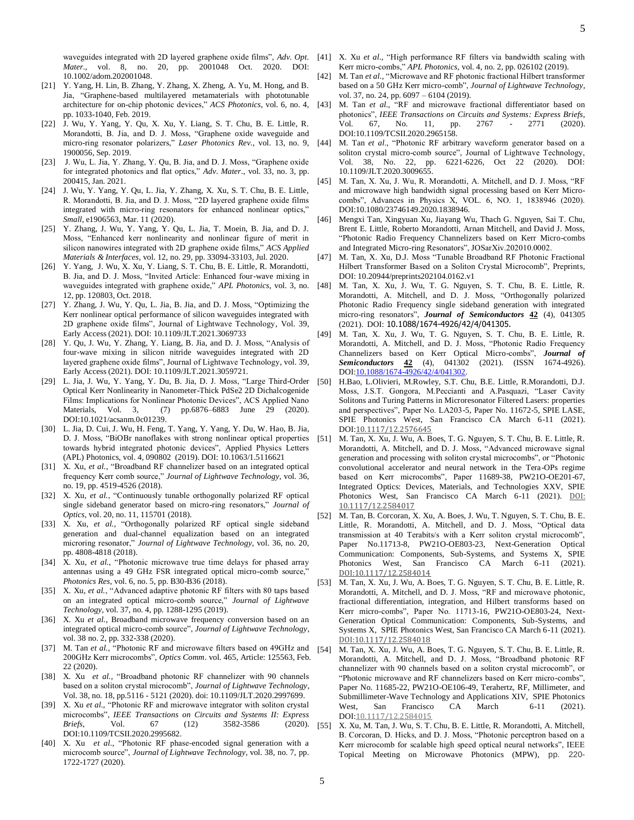- 10.1002/adom.202001048. [21] Y. Yang, H. Lin, B. Zhang, Y. Zhang, X. Zheng, A. Yu, M. Hong, and B. Jia, "Graphene-based multilayered metamaterials with phototunable architecture for on-chip photonic devices," *ACS Photonics*, vol. 6, no. 4, pp. 1033-1040, Feb. 2019.
- [22] J. Wu, Y. Yang, Y. Qu, X. Xu, Y. Liang, S. T. Chu, B. E. Little, R. Morandotti, B. Jia, and D. J. Moss, "Graphene oxide waveguide and micro-ring resonator polarizers," Laser Photonics Rev., vol. 13, no. 9, [44] 1900056, Sep. 2019.
- [23] J. Wu, L. Jia, Y. Zhang, Y. Qu, B. Jia, and D. J. Moss, "Graphene oxide for integrated photonics and flat optics," *Adv*. *Mater*., vol. 33, no. 3, pp. 200415, Jan. 2021.
- [24] J. Wu, Y. Yang, Y. Qu, L. Jia, Y. Zhang, X. Xu, S. T. Chu, B. E. Little, R. Morandotti, B. Jia, and D. J. Moss, "2D layered graphene oxide films integrated with micro-ring resonators for enhanced nonlinear optics," *Small*, e1906563, Mar. 11 (2020).
- [25] Y. Zhang, J. Wu, Y. Yang, Y. Qu, L. Jia, T. Moein, B. Jia, and D. J. Moss, "Enhanced kerr nonlinearity and nonlinear figure of merit in silicon nanowires integrated with 2D graphene oxide films," *ACS Applied Materials & Interfaces*, vol. 12, no. 29, pp. 33094-33103, Jul. 2020.
- [26] Y. Yang, J. Wu, X. Xu, Y. Liang, S. T. Chu, B. E. Little, R. Morandotti, B. Jia, and D. J. Moss, "Invited Article: Enhanced four-wave mixing in waveguides integrated with graphene oxide," *APL Photonics*, vol. 3, no. 12, pp. 120803, Oct. 2018.
- [27] Y. Zhang, J. Wu, Y. Qu, L. Jia, B. Jia, and D. J. Moss, "Optimizing the Kerr nonlinear optical performance of silicon waveguides integrated with 2D graphene oxide films", Journal of Lightwave Technology, Vol. 39, Early Access (2021). DOI: 10.1109/JLT.2021.3069733
- [28] Y. Qu, J. Wu, Y. Zhang, Y. Liang, B. Jia, and D. J. Moss, "Analysis of four-wave mixing in silicon nitride waveguides integrated with 2D layered graphene oxide films", Journal of Lightwave Technology, vol. 39, Early Access (2021). DOI: 10.1109/JLT.2021.3059721.
- [29] L. Jia, J. Wu, Y. Yang, Y. Du, B. Jia, D. J. Moss, "Large Third-Order Optical Kerr Nonlinearity in Nanometer-Thick PdSe2 2D Dichalcogenide Films: Implications for Nonlinear Photonic Devices", ACS Applied Nano Materials, Vol. 3, (7) pp.6876–6883 June 29 (2020). DOI:10.1021/acsanm.0c01239.
- [30] L. Jia, D. Cui, J. Wu, H. Feng, T. Yang, Y. Yang, Y. Du, W. Hao, B. Jia, D. J. Moss, "BiOBr nanoflakes with strong nonlinear optical properties towards hybrid integrated photonic devices", Applied Physics Letters (APL) Photonics, vol. 4, 090802 (2019). DOI: 10.1063/1.5116621
- [31] X. Xu, *et al.*, "Broadband RF channelizer based on an integrated optical frequency Kerr comb source," *Journal of Lightwave Technology,* vol. 36, no. 19, pp. 4519-4526 (2018).
- [32] X. Xu, *et al.*, "Continuously tunable orthogonally polarized RF optical single sideband generator based on micro-ring resonators," *Journal of Optics,* vol. 20, no. 11, 115701 (2018).
- [33] X. Xu, *et al.*, "Orthogonally polarized RF optical single sideband generation and dual-channel equalization based on an integrated microring resonator," *Journal of Lightwave Technology,* vol. 36, no. 20, pp. 4808-4818 (2018).
- [34] X. Xu, et al., "Photonic microwave true time delays for phased array antennas using a 49 GHz FSR integrated optical micro-comb source," *Photonics Res,* vol. 6, no. 5, pp. B30-B36 (2018).
- [35] X. Xu, *et al.*, "Advanced adaptive photonic RF filters with 80 taps based on an integrated optical micro-comb source," *Journal of Lightwave Technology,* vol. 37, no. 4, pp. 1288-1295 (2019).
- [36] X. Xu *et al.,* Broadband microwave frequency conversion based on an integrated optical micro-comb source", *Journal of Lightwave Technology*, vol. 38 no. 2, pp. 332-338 (2020).
- [37] M. Tan *et al.*, "Photonic RF and microwave filters based on 49GHz and 200GHz Kerr microcombs", *Optics Comm*. vol. 465, Article: 125563, Feb. 22 (2020).
- [38] X. Xu *et al.,* "Broadband photonic RF channelizer with 90 channels based on a soliton crystal microcomb", *Journal of Lightwave Technology*, Vol. 38, no. 18, pp.5116 - 5121 (2020). doi: 10.1109/JLT.2020.2997699.
- [39] X. Xu *et al.,* "Photonic RF and microwave integrator with soliton crystal microcombs", *IEEE Transactions on Circuits and Systems II: Express Briefs*, Vol. 67 (12) 3582-3586 (2020). DOI:10.1109/TCSII.2020.2995682.
- [40] X. Xu *et al.,* "Photonic RF phase-encoded signal generation with a microcomb source", *Journal of Lightwave Technology*, vol. 38, no. 7, pp. 1722-1727 (2020).
- waveguides integrated with 2D layered graphene oxide films", *Adv. Opt.*  [41] X. Xu *et al.*, "High performance RF filters via bandwidth scaling with Kerr micro-combs," *APL Photonics,* vol. 4, no. 2, pp. 026102 (2019).
	- [42] M. Tan *et al.,* "Microwave and RF photonic fractional Hilbert transformer based on a 50 GHz Kerr micro-comb", *Journal of Lightwave Technology*, vol. 37, no. 24, pp. 6097 – 6104 (2019).
	- M. Tan *et al.*, "RF and microwave fractional differentiator based on photonics", *IEEE Transactions on Circuits and Systems: Express Briefs*, Vol. 67, No. 11, pp. 2767 - 2771 (2020). DOI:10.1109/TCSII.2020.2965158.
	- [44] M. Tan *et al*., "Photonic RF arbitrary waveform generator based on a soliton crystal micro-comb source", Journal of Lightwave Technology, Vol. 38, No. 22, pp. 6221-6226, Oct 22 (2020). DOI: 10.1109/JLT.2020.3009655.
	- [45] M. Tan, X. Xu, J. Wu, R. Morandotti, A. Mitchell, and D. J. Moss, "RF and microwave high bandwidth signal processing based on Kerr Microcombs", Advances in Physics X, VOL. 6, NO. 1, 1838946 (2020). DOI:10.1080/23746149.2020.1838946.
	- [46] Mengxi Tan, Xingyuan Xu, Jiayang Wu, Thach G. Nguyen, Sai T. Chu, Brent E. Little, Roberto Morandotti, Arnan Mitchell, and David J. Moss, "Photonic Radio Frequency Channelizers based on Kerr Micro-combs and Integrated Micro-ring Resonators", JOSarXiv.202010.0002.
	- [47] M. Tan, X. Xu, D.J. Moss "Tunable Broadband RF Photonic Fractional Hilbert Transformer Based on a Soliton Crystal Microcomb", Preprints, DOI: 10.20944/preprints202104.0162.v1
	- [48] M. Tan, X. Xu, J. Wu, T. G. Nguyen, S. T. Chu, B. E. Little, R. Morandotti, A. Mitchell, and D. J. Moss, "Orthogonally polarized Photonic Radio Frequency single sideband generation with integrated micro-ring resonators", *Journal of Semiconductors* **42** (4), 041305 (2021). DOI: 10.1088/1674-4926/42/4/041305.
	- [49] M. Tan, X. Xu, J. Wu, T. G. Nguyen, S. T. Chu, B. E. Little, R. Morandotti, A. Mitchell, and D. J. Moss, "Photonic Radio Frequency Channelizers based on Kerr Optical Micro-combs", *Journal of Semiconductors* **42** (4), 041302 (2021). (ISSN 1674-4926). DOI[:10.1088/1674-4926/42/4/041302.](http://doi.org/10.1088/1674-4926/42/4/041302)
	- [50] H.Bao, L.Olivieri, M.Rowley, S.T. Chu, B.E. Little, R.Morandotti, D.J. Moss, J.S.T. Gongora, M.Peccianti and A.Pasquazi, "Laser Cavity Solitons and Turing Patterns in Microresonator Filtered Lasers: properties and perspectives", Paper No. LA203-5, Paper No. 11672-5, SPIE LASE, SPIE Photonics West, San Francisco CA March 6-11 (2021). DOI:[10.1117/12.2576645](https://doi.org/10.1117/12.2576645)
	- [51] M. Tan, X. Xu, J. Wu, A. Boes, T. G. Nguyen, S. T. Chu, B. E. Little, R. Morandotti, A. Mitchell, and D. J. Moss, "Advanced microwave signal generation and processing with soliton crystal microcombs", or "Photonic convolutional accelerator and neural network in the Tera-OPs regime based on Kerr microcombs", Paper 11689-38, PW21O-OE201-67, Integrated Optics: Devices, Materials, and Technologies XXV, SPIE Photonics West, San Francisco CA March 6-11 (2021). DOI: [10.1117/12.2584017](https://doi.org/10.1117/12.2584017)
	- [52] M. Tan, B. Corcoran, X. Xu, A. Boes, J. Wu, T. Nguyen, S. T. Chu, B. E. Little, R. Morandotti, A. Mitchell, and D. J. Moss, "Optical data transmission at 40 Terabits/s with a Kerr soliton crystal microcomb", Paper No.11713-8, PW21O-OE803-23, Next-Generation Optical Communication: Components, Sub-Systems, and Systems X, SPIE Photonics West, San Francisco CA March 6-11 (2021). [DOI:10.1117/12.2584014](https://doi.org/10.1117/12.2584014)
	- [53] M. Tan, X. Xu, J. Wu, A. Boes, T. G. Nguyen, S. T. Chu, B. E. Little, R. Morandotti, A. Mitchell, and D. J. Moss, "RF and microwave photonic, fractional differentiation, integration, and Hilbert transforms based on Kerr micro-combs", Paper No. 11713-16, PW21O-OE803-24, Next-Generation Optical Communication: Components, Sub-Systems, and Systems X, SPIE Photonics West, San Francisco CA March 6-11 (2021). [DOI:10.1117/12.2584018](https://doi.org/10.1117/12.2584018)
	- [54] M. Tan, X. Xu, J. Wu, A. Boes, T. G. Nguyen, S. T. Chu, B. E. Little, R. Morandotti, A. Mitchell, and D. J. Moss, "Broadband photonic RF channelizer with 90 channels based on a soliton crystal microcomb", or "Photonic microwave and RF channelizers based on Kerr micro-combs", Paper No. 11685-22, PW21O-OE106-49, Terahertz, RF, Millimeter, and Submillimeter-Wave Technology and Applications XIV, SPIE Photonics West, San Francisco CA March 6-11 (2021). DOI:[10.1117/12.2584015](https://doi.org/10.1117/12.2584015)
	- [55] X. Xu, M. Tan, J. Wu, S. T. Chu, B. E. Little, R. Morandotti, A. Mitchell, B. Corcoran, D. Hicks, and D. J. Moss, "Photonic perceptron based on a Kerr microcomb for scalable high speed optical neural networks", IEEE Topical Meeting on Microwave Photonics (MPW), pp. 220-